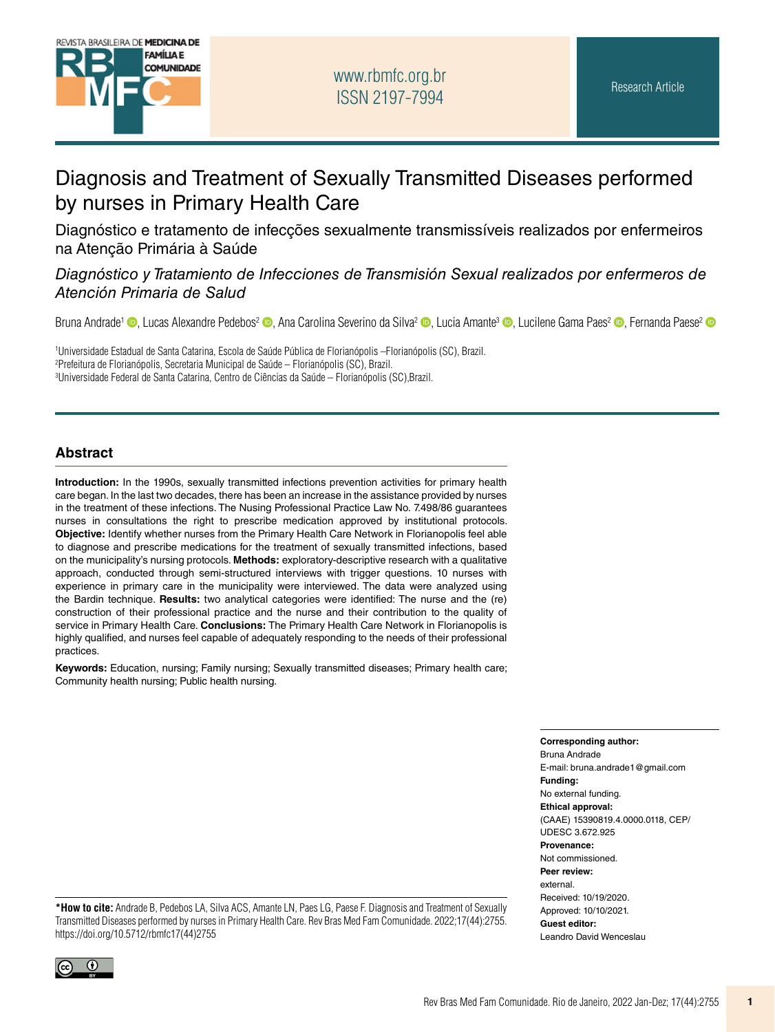

#### [www.rbmfc.org.br](http://www.rbmfc.org.br) ISSN 2197-7994

# Diagnosis and Treatment of Sexually Transmitted Diseases performed by nurses in Primary Health Care

Diagnóstico e tratamento de infecções sexualmente transmissíveis realizados por enfermeiros na Atenção Primária à Saúde

*Diagnóstico y Tratamiento de Infecciones de Transmisión Sexual realizados por enfermeros de Atención Primaria de Salud*

Bruna Andrade<sup>[1](https://orcid.org/0000-0002-8961-1611)</sup> , Lucas Alexandre Pedebos<sup>[2](https://orcid.org/0000-0002-9672-4446)</sup> , Ana Carolina Severino da Silva<sup>2</sup> , Lucia Amante<sup>[3](https://orcid.org/0000-0002-5440-2094)</sup> [,](https://orcid.org/0000-0001-8540-9873) Lucilene Gama Paes<sup>2</sup> , Fernanda Paese<sup>2</sup> **o** 

1 Universidade Estadual de Santa Catarina, Escola de Saúde Pública de Florianópolis – Florianópolis (SC), Brazil. 2 Prefeitura de Florianópolis, Secretaria Municipal de Saúde – Florianópolis (SC), Brazil. 3 Universidade Federal de Santa Catarina, Centro de Ciências da Saúde – Florianópolis (SC), Brazil.

#### **Abstract**

**Introduction:** In the 1990s, sexually transmitted infections prevention activities for primary health care began. In the last two decades, there has been an increase in the assistance provided by nurses in the treatment of these infections. The Nusing Professional Practice Law No. 7.498/86 guarantees nurses in consultations the right to prescribe medication approved by institutional protocols. **Objective:** Identify whether nurses from the Primary Health Care Network in Florianopolis feel able to diagnose and prescribe medications for the treatment of sexually transmitted infections, based on the municipality's nursing protocols. **Methods:** exploratory-descriptive research with a qualitative approach, conducted through semi-structured interviews with trigger questions. 10 nurses with experience in primary care in the municipality were interviewed. The data were analyzed using the Bardin technique. **Results:** two analytical categories were identified: The nurse and the (re) construction of their professional practice and the nurse and their contribution to the quality of service in Primary Health Care. **Conclusions:** The Primary Health Care Network in Florianopolis is highly qualified, and nurses feel capable of adequately responding to the needs of their professional practices.

**Keywords:** Education, nursing; Family nursing; Sexually transmitted diseases; Primary health care; Community health nursing; Public health nursing.

#### **Corresponding author:**

Bruna Andrade E-mail: [bruna.andrade1@gmail.com](mailto:bruna.andrade1@gmail.com) **Funding:** No external funding. **Ethical approval:** (CAAE) 15390819.4.0000.0118, CEP/ UDESC 3.672.925 **Provenance:** Not commissioned. **Peer review:** external. Received: 10/19/2020. Approved: 10/10/2021. **Guest editor:** Leandro David Wenceslau

**\*How to cite:** Andrade B, Pedebos LA, Silva ACS, Amante LN, Paes LG, Paese F. Diagnosis and Treatment of Sexually Transmitted Diseases performed by nurses in Primary Health Care. Rev Bras Med Fam Comunidade. 2022;17(44):2755. [https://doi.org/10.5712/rbmfc17\(44\)2755](https://doi.org/10.5712/rbmfc17(44)2755)

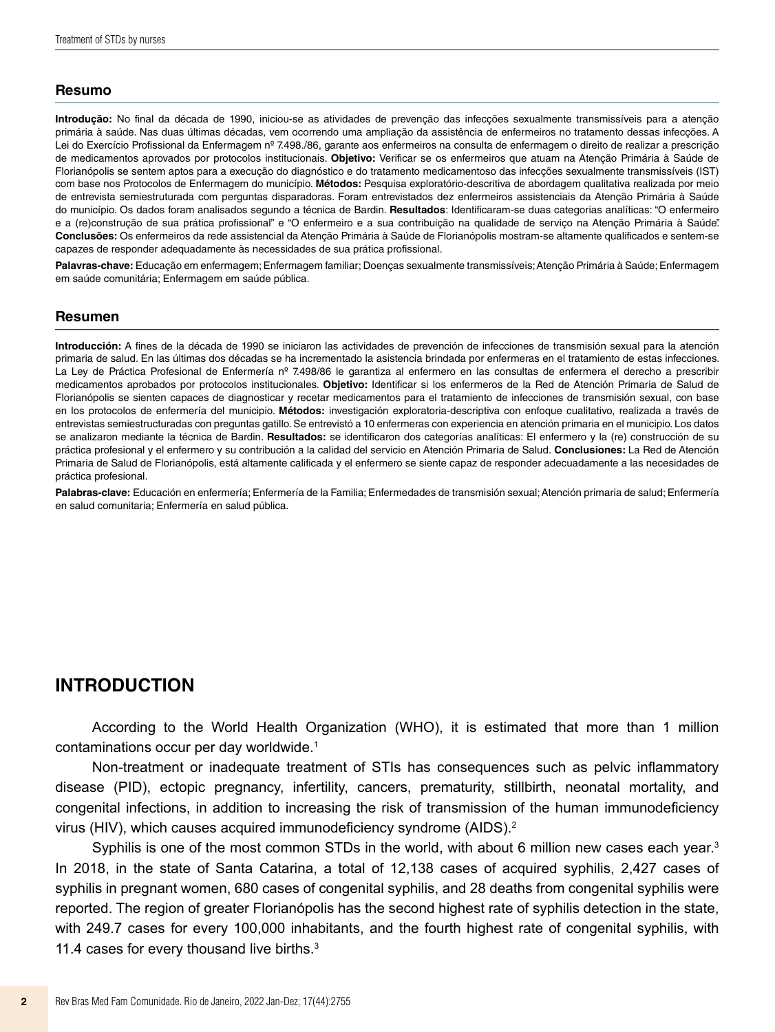#### **Resumo**

**Introdução:** No final da década de 1990, iniciou-se as atividades de prevenção das infecções sexualmente transmissíveis para a atenção primária à saúde. Nas duas últimas décadas, vem ocorrendo uma ampliação da assistência de enfermeiros no tratamento dessas infecções. A Lei do Exercício Profissional da Enfermagem nº 7.498./86, garante aos enfermeiros na consulta de enfermagem o direito de realizar a prescrição de medicamentos aprovados por protocolos institucionais. **Objetivo:** Verificar se os enfermeiros que atuam na Atenção Primária à Saúde de Florianópolis se sentem aptos para a execução do diagnóstico e do tratamento medicamentoso das infecções sexualmente transmissíveis (IST) com base nos Protocolos de Enfermagem do município. **Métodos:** Pesquisa exploratório-descritiva de abordagem qualitativa realizada por meio de entrevista semiestruturada com perguntas disparadoras. Foram entrevistados dez enfermeiros assistenciais da Atenção Primária à Saúde do município. Os dados foram analisados segundo a técnica de Bardin. **Resultados**: Identificaram-se duas categorias analíticas: "O enfermeiro e a (re)construção de sua prática profissional" e "O enfermeiro e a sua contribuição na qualidade de serviço na Atenção Primária à Saúde". **Conclusões:** Os enfermeiros da rede assistencial da Atenção Primária à Saúde de Florianópolis mostram-se altamente qualificados e sentem-se capazes de responder adequadamente às necessidades de sua prática profissional.

**Palavras-chave:** Educação em enfermagem; Enfermagem familiar; Doenças sexualmente transmissíveis; Atenção Primária à Saúde; Enfermagem em saúde comunitária; Enfermagem em saúde pública.

#### **Resumen**

**Introducción:** A fines de la década de 1990 se iniciaron las actividades de prevención de infecciones de transmisión sexual para la atención primaria de salud. En las últimas dos décadas se ha incrementado la asistencia brindada por enfermeras en el tratamiento de estas infecciones. La Ley de Práctica Profesional de Enfermería nº 7.498/86 le garantiza al enfermero en las consultas de enfermera el derecho a prescribir medicamentos aprobados por protocolos institucionales. **Objetivo:** Identificar si los enfermeros de la Red de Atención Primaria de Salud de Florianópolis se sienten capaces de diagnosticar y recetar medicamentos para el tratamiento de infecciones de transmisión sexual, con base en los protocolos de enfermería del municipio. **Métodos:** investigación exploratoria-descriptiva con enfoque cualitativo, realizada a través de entrevistas semiestructuradas con preguntas gatillo. Se entrevistó a 10 enfermeras con experiencia en atención primaria en el municipio. Los datos se analizaron mediante la técnica de Bardin. **Resultados:** se identificaron dos categorías analíticas: El enfermero y la (re) construcción de su práctica profesional y el enfermero y su contribución a la calidad del servicio en Atención Primaria de Salud. **Conclusiones:** La Red de Atención Primaria de Salud de Florianópolis, está altamente calificada y el enfermero se siente capaz de responder adecuadamente a las necesidades de práctica profesional.

**Palabras-clave:** Educación en enfermería; Enfermería de la Familia; Enfermedades de transmisión sexual; Atención primaria de salud; Enfermería en salud comunitaria; Enfermería en salud pública.

#### **INTRODUCTION**

According to the World Health Organization (WHO), it is estimated that more than 1 million contaminations occur per day worldwide.1

Non-treatment or inadequate treatment of STIs has consequences such as pelvic inflammatory disease (PID), ectopic pregnancy, infertility, cancers, prematurity, stillbirth, neonatal mortality, and congenital infections, in addition to increasing the risk of transmission of the human immunodeficiency virus (HIV), which causes acquired immunodeficiency syndrome (AIDS).<sup>2</sup>

Syphilis is one of the most common STDs in the world, with about 6 million new cases each year.<sup>3</sup> In 2018, in the state of Santa Catarina, a total of 12,138 cases of acquired syphilis, 2,427 cases of syphilis in pregnant women, 680 cases of congenital syphilis, and 28 deaths from congenital syphilis were reported. The region of greater Florianópolis has the second highest rate of syphilis detection in the state, with 249.7 cases for every 100,000 inhabitants, and the fourth highest rate of congenital syphilis, with 11.4 cases for every thousand live births.<sup>3</sup>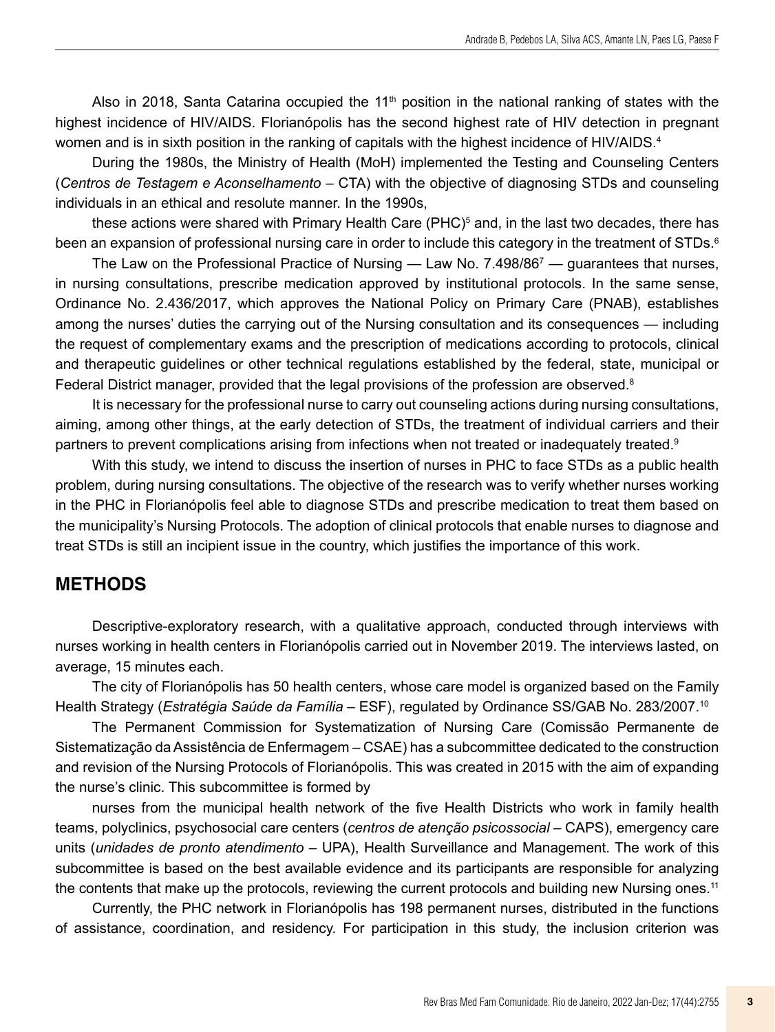Also in 2018, Santa Catarina occupied the 11<sup>th</sup> position in the national ranking of states with the highest incidence of HIV/AIDS. Florianópolis has the second highest rate of HIV detection in pregnant women and is in sixth position in the ranking of capitals with the highest incidence of HIV/AIDS.<sup>4</sup>

During the 1980s, the Ministry of Health (MoH) implemented the Testing and Counseling Centers (*Centros de Testagem e Aconselhamento* – CTA) with the objective of diagnosing STDs and counseling individuals in an ethical and resolute manner. In the 1990s,

these actions were shared with Primary Health Care (PHC) $^5$  and, in the last two decades, there has been an expansion of professional nursing care in order to include this category in the treatment of STDs.<sup>6</sup>

The Law on the Professional Practice of Nursing — Law No. 7.498/86<sup>7</sup> — guarantees that nurses, in nursing consultations, prescribe medication approved by institutional protocols. In the same sense, Ordinance No. 2.436/2017, which approves the National Policy on Primary Care (PNAB), establishes among the nurses' duties the carrying out of the Nursing consultation and its consequences — including the request of complementary exams and the prescription of medications according to protocols, clinical and therapeutic guidelines or other technical regulations established by the federal, state, municipal or Federal District manager, provided that the legal provisions of the profession are observed.<sup>8</sup>

It is necessary for the professional nurse to carry out counseling actions during nursing consultations, aiming, among other things, at the early detection of STDs, the treatment of individual carriers and their partners to prevent complications arising from infections when not treated or inadequately treated.<sup>9</sup>

With this study, we intend to discuss the insertion of nurses in PHC to face STDs as a public health problem, during nursing consultations. The objective of the research was to verify whether nurses working in the PHC in Florianópolis feel able to diagnose STDs and prescribe medication to treat them based on the municipality's Nursing Protocols. The adoption of clinical protocols that enable nurses to diagnose and treat STDs is still an incipient issue in the country, which justifies the importance of this work.

#### **METHODS**

Descriptive-exploratory research, with a qualitative approach, conducted through interviews with nurses working in health centers in Florianópolis carried out in November 2019. The interviews lasted, on average, 15 minutes each.

The city of Florianópolis has 50 health centers, whose care model is organized based on the Family Health Strategy (*Estratégia Saúde da Família –* ESF), regulated by Ordinance SS/GAB No. 283/2007.10

The Permanent Commission for Systematization of Nursing Care (Comissão Permanente de Sistematização da Assistência de Enfermagem – CSAE) has a subcommittee dedicated to the construction and revision of the Nursing Protocols of Florianópolis. This was created in 2015 with the aim of expanding the nurse's clinic. This subcommittee is formed by

nurses from the municipal health network of the five Health Districts who work in family health teams, polyclinics, psychosocial care centers (*centros de atenção psicossocial* – CAPS), emergency care units (*unidades de pronto atendimento* – UPA), Health Surveillance and Management. The work of this subcommittee is based on the best available evidence and its participants are responsible for analyzing the contents that make up the protocols, reviewing the current protocols and building new Nursing ones.<sup>11</sup>

Currently, the PHC network in Florianópolis has 198 permanent nurses, distributed in the functions of assistance, coordination, and residency. For participation in this study, the inclusion criterion was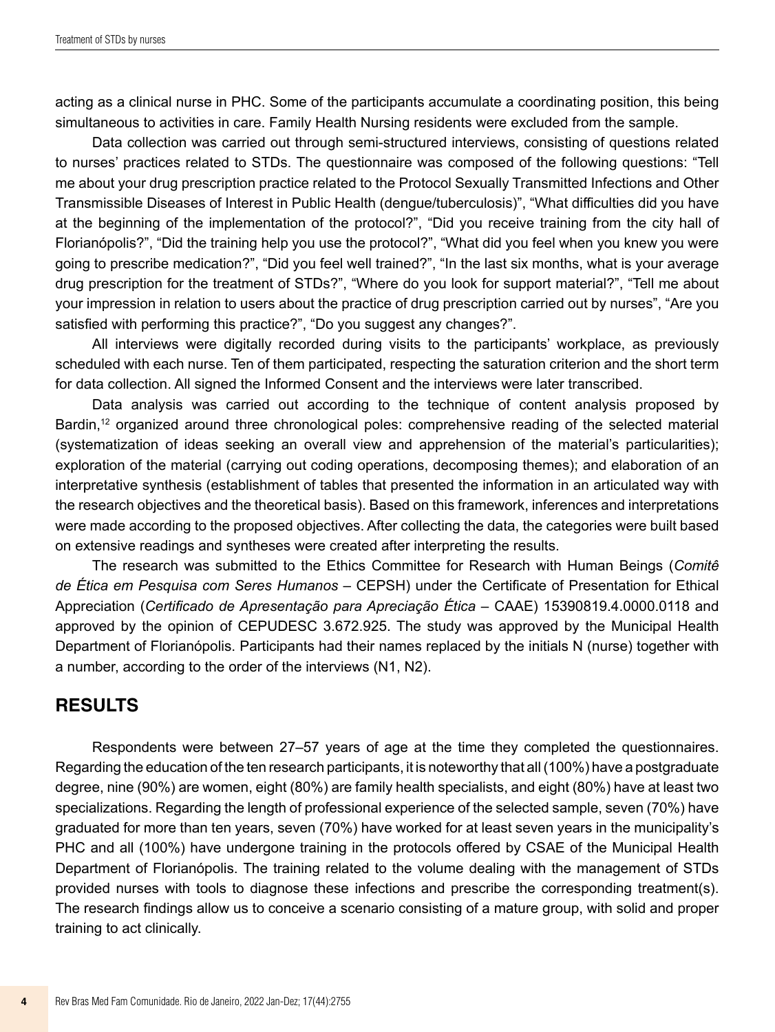acting as a clinical nurse in PHC. Some of the participants accumulate a coordinating position, this being simultaneous to activities in care. Family Health Nursing residents were excluded from the sample.

Data collection was carried out through semi-structured interviews, consisting of questions related to nurses' practices related to STDs. The questionnaire was composed of the following questions: "Tell me about your drug prescription practice related to the Protocol Sexually Transmitted Infections and Other Transmissible Diseases of Interest in Public Health (dengue/tuberculosis)", "What difficulties did you have at the beginning of the implementation of the protocol?", "Did you receive training from the city hall of Florianópolis?", "Did the training help you use the protocol?", "What did you feel when you knew you were going to prescribe medication?", "Did you feel well trained?", "In the last six months, what is your average drug prescription for the treatment of STDs?", "Where do you look for support material?", "Tell me about your impression in relation to users about the practice of drug prescription carried out by nurses", "Are you satisfied with performing this practice?", "Do you suggest any changes?".

All interviews were digitally recorded during visits to the participants' workplace, as previously scheduled with each nurse. Ten of them participated, respecting the saturation criterion and the short term for data collection. All signed the Informed Consent and the interviews were later transcribed.

Data analysis was carried out according to the technique of content analysis proposed by Bardin,<sup>12</sup> organized around three chronological poles: comprehensive reading of the selected material (systematization of ideas seeking an overall view and apprehension of the material's particularities); exploration of the material (carrying out coding operations, decomposing themes); and elaboration of an interpretative synthesis (establishment of tables that presented the information in an articulated way with the research objectives and the theoretical basis). Based on this framework, inferences and interpretations were made according to the proposed objectives. After collecting the data, the categories were built based on extensive readings and syntheses were created after interpreting the results.

The research was submitted to the Ethics Committee for Research with Human Beings (*Comitê de Ética em Pesquisa com Seres Humanos* – CEPSH) under the Certificate of Presentation for Ethical Appreciation (*Certificado de Apresentação para Apreciação Ética* – CAAE) 15390819.4.0000.0118 and approved by the opinion of CEPUDESC 3.672.925. The study was approved by the Municipal Health Department of Florianópolis. Participants had their names replaced by the initials N (nurse) together with a number, according to the order of the interviews (N1, N2).

#### **RESULTS**

Respondents were between 27–57 years of age at the time they completed the questionnaires. Regarding the education of the ten research participants, it is noteworthy that all (100%) have a postgraduate degree, nine (90%) are women, eight (80%) are family health specialists, and eight (80%) have at least two specializations. Regarding the length of professional experience of the selected sample, seven (70%) have graduated for more than ten years, seven (70%) have worked for at least seven years in the municipality's PHC and all (100%) have undergone training in the protocols offered by CSAE of the Municipal Health Department of Florianópolis. The training related to the volume dealing with the management of STDs provided nurses with tools to diagnose these infections and prescribe the corresponding treatment(s). The research findings allow us to conceive a scenario consisting of a mature group, with solid and proper training to act clinically.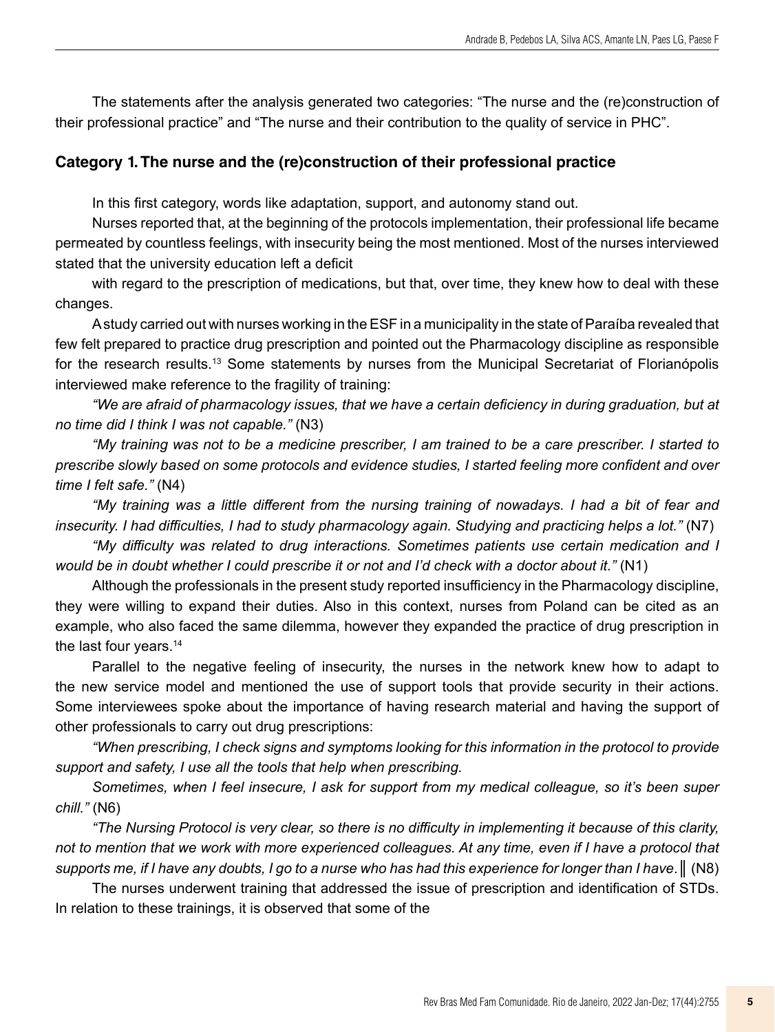The statements after the analysis generated two categories: "The nurse and the (re)construction of their professional practice" and "The nurse and their contribution to the quality of service in PHC".

#### **Category 1. The nurse and the (re)construction of their professional practice**

In this first category, words like adaptation, support, and autonomy stand out.

Nurses reported that, at the beginning of the protocols implementation, their professional life became permeated by countless feelings, with insecurity being the most mentioned. Most of the nurses interviewed stated that the university education left a deficit

with regard to the prescription of medications, but that, over time, they knew how to deal with these changes.

A study carried out with nurses working in the ESF in a municipality in the state of Paraíba revealed that few felt prepared to practice drug prescription and pointed out the Pharmacology discipline as responsible for the research results.13 Some statements by nurses from the Municipal Secretariat of Florianópolis interviewed make reference to the fragility of training:

*"We are afraid of pharmacology issues, that we have a certain deficiency in during graduation, but at no time did I think I was not capable."* (N3)

*"My training was not to be a medicine prescriber, I am trained to be a care prescriber. I started to prescribe slowly based on some protocols and evidence studies, I started feeling more confident and over time I felt safe."* (N4)

*"My training was a little different from the nursing training of nowadays. I had a bit of fear and insecurity. I had difficulties, I had to study pharmacology again. Studying and practicing helps a lot.*" (N7)

*"My difficulty was related to drug interactions. Sometimes patients use certain medication and I would be in doubt whether I could prescribe it or not and I'd check with a doctor about it."* (N1)

Although the professionals in the present study reported insufficiency in the Pharmacology discipline, they were willing to expand their duties. Also in this context, nurses from Poland can be cited as an example, who also faced the same dilemma, however they expanded the practice of drug prescription in the last four years.14

Parallel to the negative feeling of insecurity, the nurses in the network knew how to adapt to the new service model and mentioned the use of support tools that provide security in their actions. Some interviewees spoke about the importance of having research material and having the support of other professionals to carry out drug prescriptions:

*"When prescribing, I check signs and symptoms looking for this information in the protocol to provide support and safety, I use all the tools that help when prescribing.*

*Sometimes, when I feel insecure, I ask for support from my medical colleague, so it's been super chill."* (N6)

*"The Nursing Protocol is very clear, so there is no difficulty in implementing it because of this clarity, not to mention that we work with more experienced colleagues. At any time, even if I have a protocol that supports me, if I have any doubts, I go to a nurse who has had this experience for longer than I have*.║ (N8)

The nurses underwent training that addressed the issue of prescription and identification of STDs. In relation to these trainings, it is observed that some of the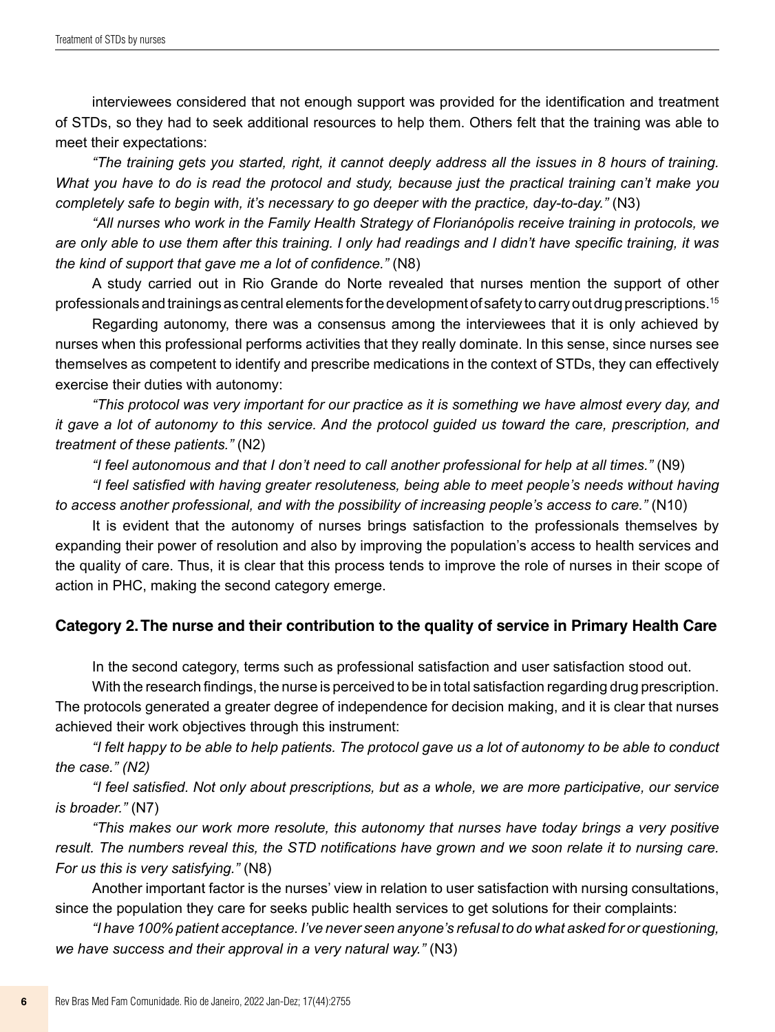interviewees considered that not enough support was provided for the identification and treatment of STDs, so they had to seek additional resources to help them. Others felt that the training was able to meet their expectations:

*"The training gets you started, right, it cannot deeply address all the issues in 8 hours of training. What you have to do is read the protocol and study, because just the practical training can't make you completely safe to begin with, it's necessary to go deeper with the practice, day-to-day."* (N3)

*"All nurses who work in the Family Health Strategy of Florianópolis receive training in protocols, we are only able to use them after this training. I only had readings and I didn't have specific training, it was the kind of support that gave me a lot of confidence."* (N8)

A study carried out in Rio Grande do Norte revealed that nurses mention the support of other professionals and trainings as central elements for the development of safety to carry out drug prescriptions.15

Regarding autonomy, there was a consensus among the interviewees that it is only achieved by nurses when this professional performs activities that they really dominate. In this sense, since nurses see themselves as competent to identify and prescribe medications in the context of STDs, they can effectively exercise their duties with autonomy:

*"This protocol was very important for our practice as it is something we have almost every day, and it gave a lot of autonomy to this service. And the protocol guided us toward the care, prescription, and treatment of these patients."* (N2)

*"I feel autonomous and that I don't need to call another professional for help at all times."* (N9)

*"I feel satisfied with having greater resoluteness, being able to meet people's needs without having to access another professional, and with the possibility of increasing people's access to care."* (N10)

It is evident that the autonomy of nurses brings satisfaction to the professionals themselves by expanding their power of resolution and also by improving the population's access to health services and the quality of care. Thus, it is clear that this process tends to improve the role of nurses in their scope of action in PHC, making the second category emerge.

#### **Category 2. The nurse and their contribution to the quality of service in Primary Health Care**

In the second category, terms such as professional satisfaction and user satisfaction stood out.

With the research findings, the nurse is perceived to be in total satisfaction regarding drug prescription. The protocols generated a greater degree of independence for decision making, and it is clear that nurses achieved their work objectives through this instrument:

*"I felt happy to be able to help patients. The protocol gave us a lot of autonomy to be able to conduct the case." (N2)*

*"I feel satisfied. Not only about prescriptions, but as a whole, we are more participative, our service is broader."* (N7)

*"This makes our work more resolute, this autonomy that nurses have today brings a very positive result. The numbers reveal this, the STD notifications have grown and we soon relate it to nursing care. For us this is very satisfying."* (N8)

Another important factor is the nurses' view in relation to user satisfaction with nursing consultations, since the population they care for seeks public health services to get solutions for their complaints:

*"I have 100% patient acceptance. I've never seen anyone's refusal to do what asked for or questioning, we have success and their approval in a very natural way."* (N3)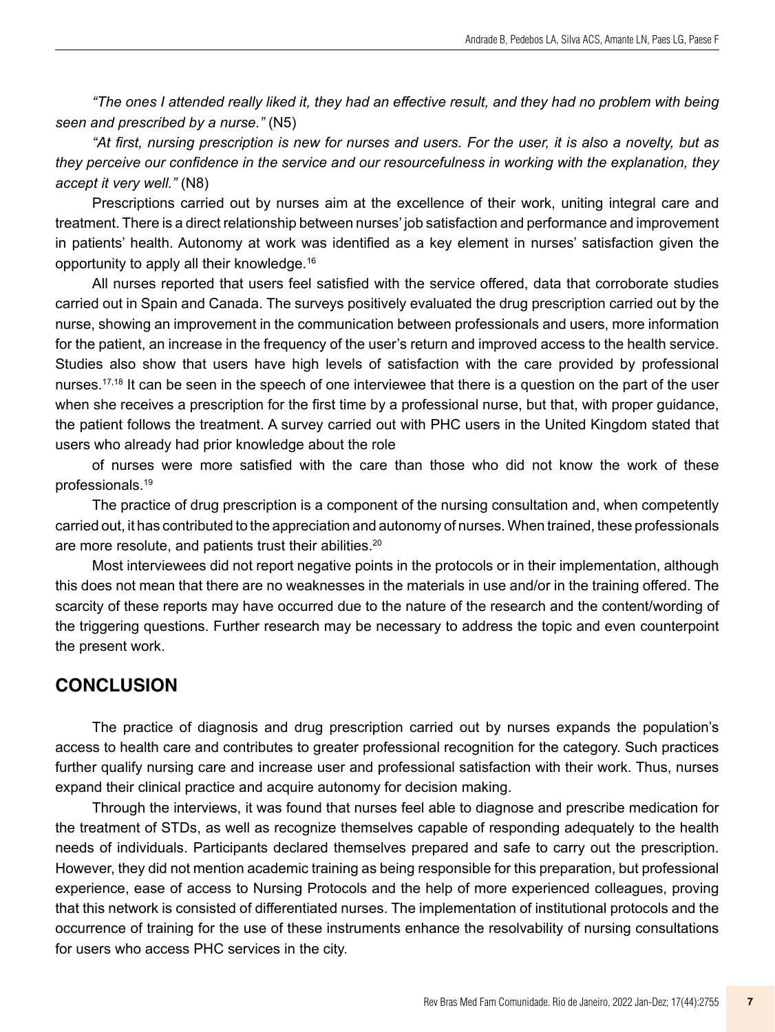*"The ones I attended really liked it, they had an effective result, and they had no problem with being seen and prescribed by a nurse."* (N5)

*"At first, nursing prescription is new for nurses and users. For the user, it is also a novelty, but as they perceive our confidence in the service and our resourcefulness in working with the explanation, they accept it very well."* (N8)

Prescriptions carried out by nurses aim at the excellence of their work, uniting integral care and treatment. There is a direct relationship between nurses' job satisfaction and performance and improvement in patients' health. Autonomy at work was identified as a key element in nurses' satisfaction given the opportunity to apply all their knowledge.16

All nurses reported that users feel satisfied with the service offered, data that corroborate studies carried out in Spain and Canada. The surveys positively evaluated the drug prescription carried out by the nurse, showing an improvement in the communication between professionals and users, more information for the patient, an increase in the frequency of the user's return and improved access to the health service. Studies also show that users have high levels of satisfaction with the care provided by professional nurses.<sup>17,18</sup> It can be seen in the speech of one interviewee that there is a question on the part of the user when she receives a prescription for the first time by a professional nurse, but that, with proper guidance, the patient follows the treatment. A survey carried out with PHC users in the United Kingdom stated that users who already had prior knowledge about the role

of nurses were more satisfied with the care than those who did not know the work of these professionals.19

The practice of drug prescription is a component of the nursing consultation and, when competently carried out, it has contributed to the appreciation and autonomy of nurses. When trained, these professionals are more resolute, and patients trust their abilities.<sup>20</sup>

Most interviewees did not report negative points in the protocols or in their implementation, although this does not mean that there are no weaknesses in the materials in use and/or in the training offered. The scarcity of these reports may have occurred due to the nature of the research and the content/wording of the triggering questions. Further research may be necessary to address the topic and even counterpoint the present work.

## **CONCLUSION**

The practice of diagnosis and drug prescription carried out by nurses expands the population's access to health care and contributes to greater professional recognition for the category. Such practices further qualify nursing care and increase user and professional satisfaction with their work. Thus, nurses expand their clinical practice and acquire autonomy for decision making.

Through the interviews, it was found that nurses feel able to diagnose and prescribe medication for the treatment of STDs, as well as recognize themselves capable of responding adequately to the health needs of individuals. Participants declared themselves prepared and safe to carry out the prescription. However, they did not mention academic training as being responsible for this preparation, but professional experience, ease of access to Nursing Protocols and the help of more experienced colleagues, proving that this network is consisted of differentiated nurses. The implementation of institutional protocols and the occurrence of training for the use of these instruments enhance the resolvability of nursing consultations for users who access PHC services in the city.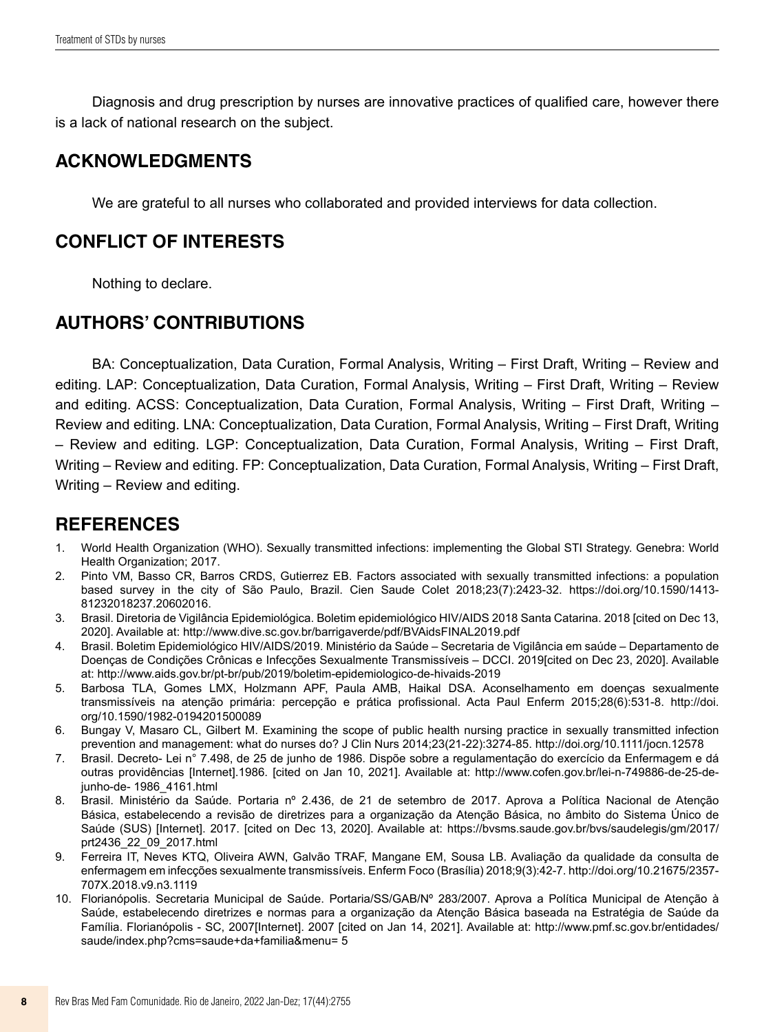Diagnosis and drug prescription by nurses are innovative practices of qualified care, however there is a lack of national research on the subject.

### **ACKNOWLEDGMENTS**

We are grateful to all nurses who collaborated and provided interviews for data collection.

### **CONFLICT OF INTERESTS**

Nothing to declare.

### **AUTHORS' CONTRIBUTIONS**

BA: Conceptualization, Data Curation, Formal Analysis, Writing – First Draft, Writing – Review and editing. LAP: Conceptualization, Data Curation, Formal Analysis, Writing – First Draft, Writing – Review and editing. ACSS: Conceptualization, Data Curation, Formal Analysis, Writing – First Draft, Writing – Review and editing. LNA: Conceptualization, Data Curation, Formal Analysis, Writing – First Draft, Writing – Review and editing. LGP: Conceptualization, Data Curation, Formal Analysis, Writing – First Draft, Writing – Review and editing. FP: Conceptualization, Data Curation, Formal Analysis, Writing – First Draft, Writing – Review and editing.

### **REFERENCES**

- 1. World Health Organization (WHO). Sexually transmitted infections: implementing the Global STI Strategy. Genebra: World Health Organization; 2017.
- 2. Pinto VM, Basso CR, Barros CRDS, Gutierrez EB. Factors associated with sexually transmitted infections: a population based survey in the city of São Paulo, Brazil. Cien Saude Colet 2018;23(7):2423-32. <https://doi.org/10.1590/1413-> 81232018237.20602016.
- 3. Brasil. Diretoria de Vigilância Epidemiológica. Boletim epidemiológico HIV/AIDS 2018 Santa Catarina. 2018 [cited on Dec 13, 2020]. Available at: <http://www.dive.sc.gov.br/barrigaverde/pdf/BVAidsFINAL2019.pdf>
- 4. Brasil. Boletim Epidemiológico HIV/AIDS/2019. Ministério da Saúde Secretaria de Vigilância em saúde Departamento de Doenças de Condições Crônicas e Infecções Sexualmente Transmissíveis – DCCI. 2019[cited on Dec 23, 2020]. Available at: <http://www.aids.gov.br/pt-br/pub/2019/boletim-epidemiologico-de-hivaids-2019>
- 5. Barbosa TLA, Gomes LMX, Holzmann APF, Paula AMB, Haikal DSA. Aconselhamento em doenças sexualmente transmissíveis na atenção primária: percepção e prática profissional. Acta Paul Enferm 2015;28(6):531-8. [http://doi.](http://doi.org/10.1590/1982-0194201500089) [org/10.1590/1982-0194201500089](http://doi.org/10.1590/1982-0194201500089)
- 6. Bungay V, Masaro CL, Gilbert M. Examining the scope of public health nursing practice in sexually transmitted infection prevention and management: what do nurses do? J Clin Nurs 2014;23(21-22):3274-85. <http://doi.org/10.1111/jocn.12578>
- 7. Brasil. Decreto- Lei n° 7.498, de 25 de junho de 1986. Dispõe sobre a regulamentação do exercício da Enfermagem e dá outras providências [Internet].1986. [cited on Jan 10, 2021]. Available at: [http://www.cofen.gov.br/lei-n-749886-de-25-de](http://www.cofen.gov.br/lei-n-749886-de-25-de-junho-de-)[junho-de-](http://www.cofen.gov.br/lei-n-749886-de-25-de-junho-de-) 1986\_4161.html
- 8. Brasil. Ministério da Saúde. Portaria nº 2.436, de 21 de setembro de 2017. Aprova a Política Nacional de Atenção Básica, estabelecendo a revisão de diretrizes para a organização da Atenção Básica, no âmbito do Sistema Único de Saúde (SUS) [Internet]. 2017. [cited on Dec 13, 2020]. Available at: [https://bvsms.saude.gov.br/bvs/saudelegis/gm/2017/](https://bvsms.saude.gov.br/bvs/saudelegis/gm/2017/prt2436_22_09_2017.html) [prt2436\\_22\\_09\\_2017.html](https://bvsms.saude.gov.br/bvs/saudelegis/gm/2017/prt2436_22_09_2017.html)
- 9. Ferreira IT, Neves KTQ, Oliveira AWN, Galvão TRAF, Mangane EM, Sousa LB. Avaliação da qualidade da consulta de enfermagem em infecções sexualmente transmissíveis. Enferm Foco (Brasília) 2018;9(3):42-7.<http://doi.org/10.21675/2357-> 707X.2018.v9.n3.1119
- 10. Florianópolis. Secretaria Municipal de Saúde. Portaria/SS/GAB/Nº 283/2007. Aprova a Política Municipal de Atenção à Saúde, estabelecendo diretrizes e normas para a organização da Atenção Básica baseada na Estratégia de Saúde da Família. Florianópolis - SC, 2007[Internet]. 2007 [cited on Jan 14, 2021]. Available at: [http://www.pmf.sc.gov.br/entidades/](http://www.pmf.sc.gov.br/entidades/saude/index.php?cms=saude+da+familia&menu=) [saude/index.php?cms=saude+da+familia&menu=](http://www.pmf.sc.gov.br/entidades/saude/index.php?cms=saude+da+familia&menu=) 5